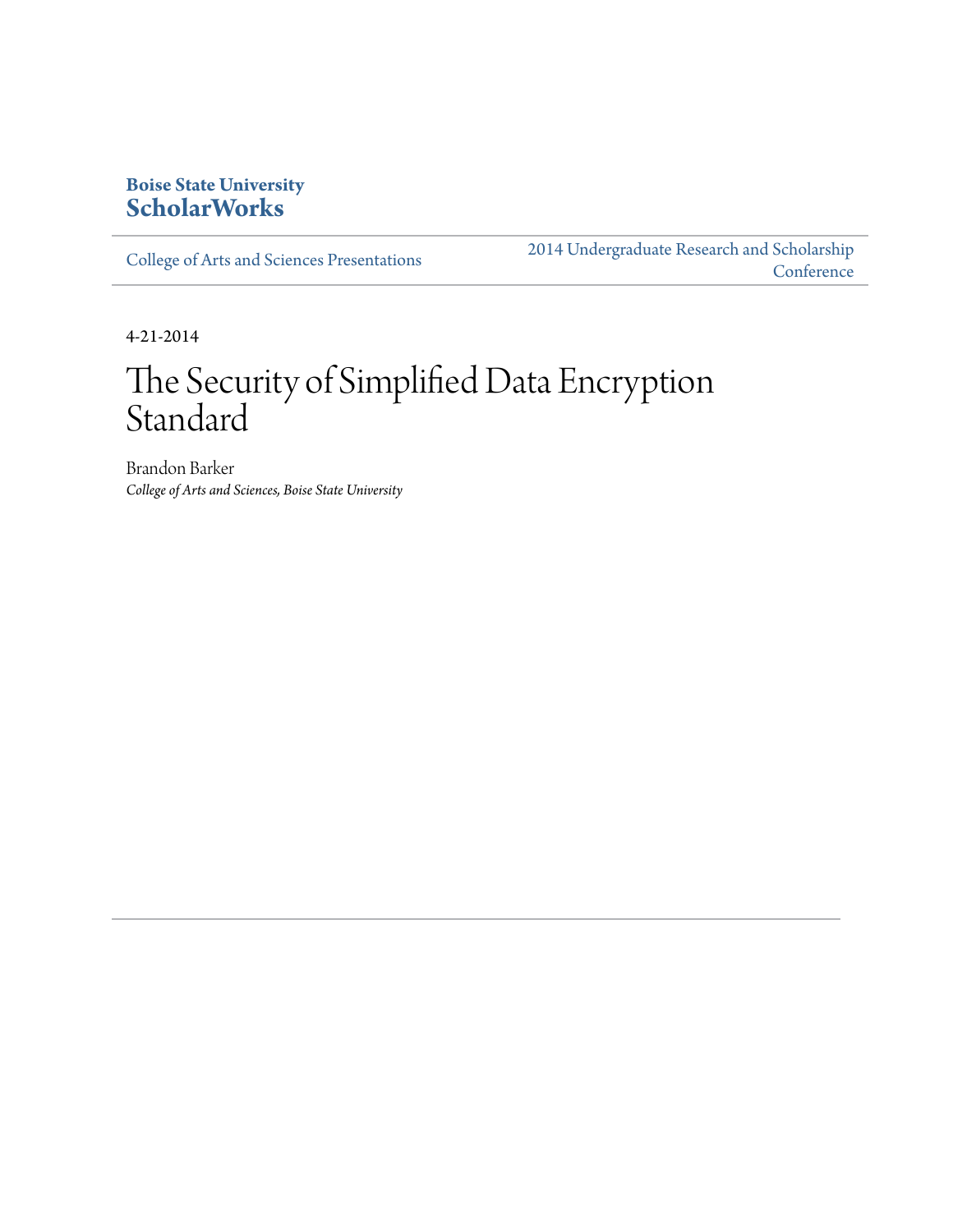#### **Boise State University [ScholarWorks](http://scholarworks.boisestate.edu)**

[College of Arts and Sciences Presentations](http://scholarworks.boisestate.edu/as_14)

[2014 Undergraduate Research and Scholarship](http://scholarworks.boisestate.edu/2014_under_conf) **[Conference](http://scholarworks.boisestate.edu/2014_under_conf)** 

4-21-2014

#### The Security of Simplified Data Encryption Standard

Brandon Barker *College of Arts and Sciences, Boise State University*